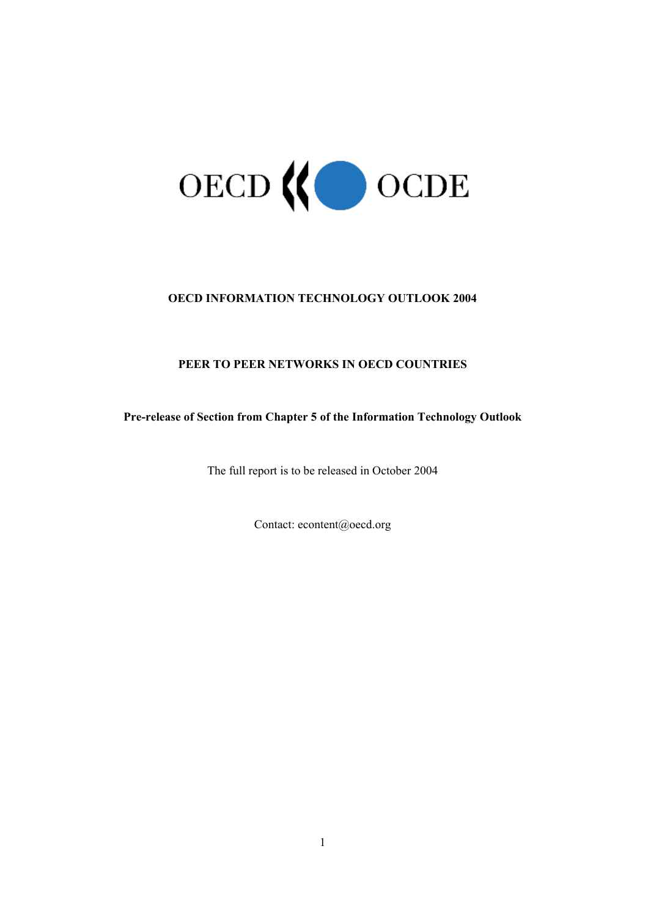

# **OECD INFORMATION TECHNOLOGY OUTLOOK 2004**

# **PEER TO PEER NETWORKS IN OECD COUNTRIES**

# **Pre-release of Section from Chapter 5 of the Information Technology Outlook**

The full report is to be released in October 2004

Contact: econtent@oecd.org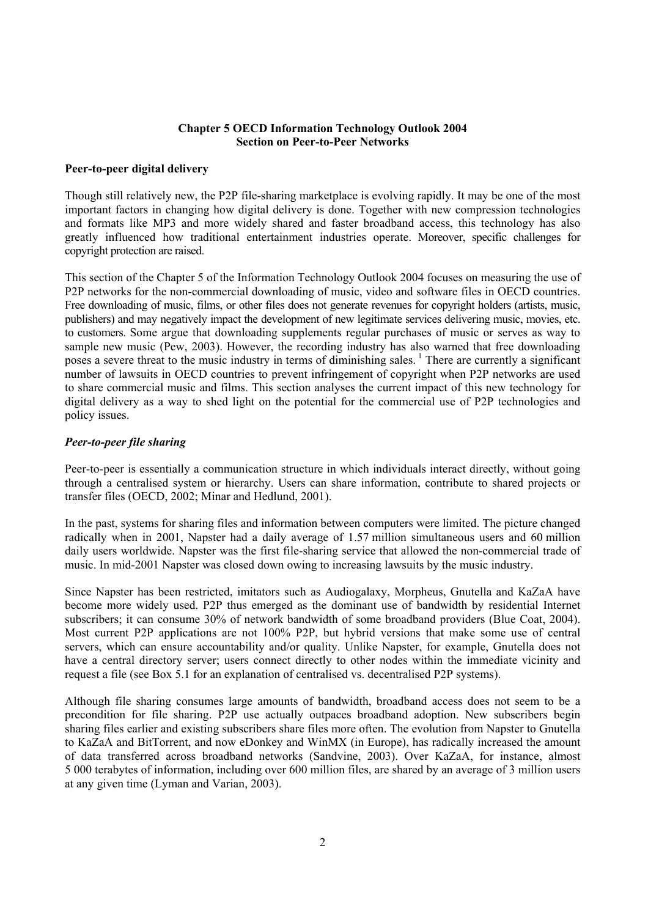### **Chapter 5 OECD Information Technology Outlook 2004 Section on Peer-to-Peer Networks**

### **Peer-to-peer digital delivery**

Though still relatively new, the P2P file-sharing marketplace is evolving rapidly. It may be one of the most important factors in changing how digital delivery is done. Together with new compression technologies and formats like MP3 and more widely shared and faster broadband access, this technology has also greatly influenced how traditional entertainment industries operate. Moreover, specific challenges for copyright protection are raised.

This section of the Chapter 5 of the Information Technology Outlook 2004 focuses on measuring the use of P2P networks for the non-commercial downloading of music, video and software files in OECD countries. Free downloading of music, films, or other files does not generate revenues for copyright holders (artists, music, publishers) and may negatively impact the development of new legitimate services delivering music, movies, etc. to customers. Some argue that downloading supplements regular purchases of music or serves as way to sample new music (Pew, 2003). However, the recording industry has also warned that free downloading poses a severe threat to the music industry in terms of diminishing sales.<sup>1</sup> There are currently a significant number of lawsuits in OECD countries to prevent infringement of copyright when P2P networks are used to share commercial music and films. This section analyses the current impact of this new technology for digital delivery as a way to shed light on the potential for the commercial use of P2P technologies and policy issues.

### *Peer-to-peer file sharing*

Peer-to-peer is essentially a communication structure in which individuals interact directly, without going through a centralised system or hierarchy. Users can share information, contribute to shared projects or transfer files (OECD, 2002; Minar and Hedlund, 2001).

In the past, systems for sharing files and information between computers were limited. The picture changed radically when in 2001, Napster had a daily average of 1.57 million simultaneous users and 60 million daily users worldwide. Napster was the first file-sharing service that allowed the non-commercial trade of music. In mid-2001 Napster was closed down owing to increasing lawsuits by the music industry.

Since Napster has been restricted, imitators such as Audiogalaxy, Morpheus, Gnutella and KaZaA have become more widely used. P2P thus emerged as the dominant use of bandwidth by residential Internet subscribers; it can consume 30% of network bandwidth of some broadband providers (Blue Coat, 2004). Most current P2P applications are not 100% P2P, but hybrid versions that make some use of central servers, which can ensure accountability and/or quality. Unlike Napster, for example, Gnutella does not have a central directory server; users connect directly to other nodes within the immediate vicinity and request a file (see Box 5.1 for an explanation of centralised vs. decentralised P2P systems).

Although file sharing consumes large amounts of bandwidth, broadband access does not seem to be a precondition for file sharing. P2P use actually outpaces broadband adoption. New subscribers begin sharing files earlier and existing subscribers share files more often. The evolution from Napster to Gnutella to KaZaA and BitTorrent, and now eDonkey and WinMX (in Europe), has radically increased the amount of data transferred across broadband networks (Sandvine, 2003). Over KaZaA, for instance, almost 5 000 terabytes of information, including over 600 million files, are shared by an average of 3 million users at any given time (Lyman and Varian, 2003).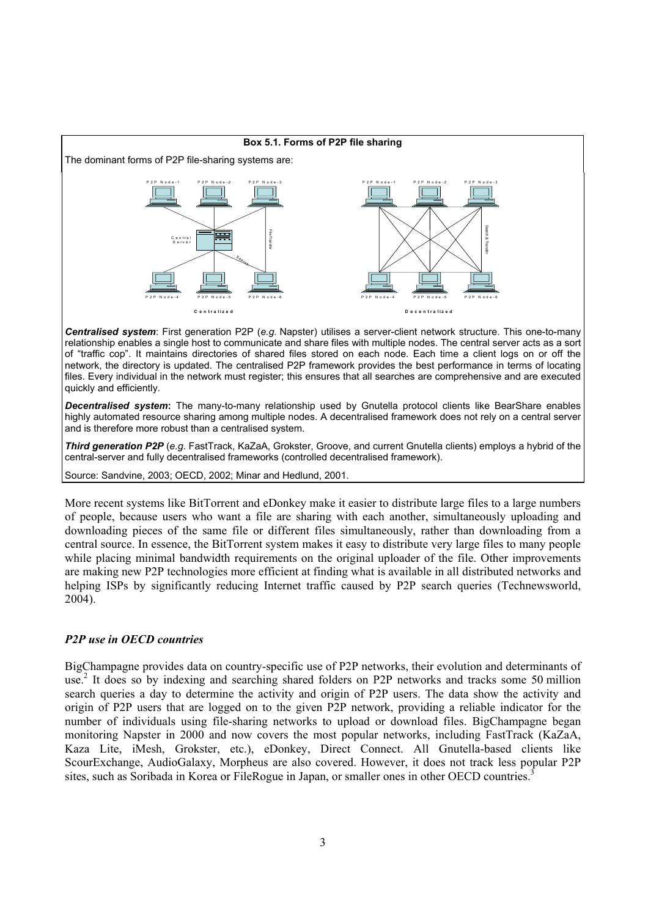

*Centralised system*: First generation P2P (*e.g.* Napster) utilises a server-client network structure. This one-to-many relationship enables a single host to communicate and share files with multiple nodes. The central server acts as a sort of "traffic cop". It maintains directories of shared files stored on each node. Each time a client logs on or off the network, the directory is updated. The centralised P2P framework provides the best performance in terms of locating files. Every individual in the network must register; this ensures that all searches are comprehensive and are executed quickly and efficiently.

*Decentralised system***:** The many-to-many relationship used by Gnutella protocol clients like BearShare enables highly automated resource sharing among multiple nodes. A decentralised framework does not rely on a central server and is therefore more robust than a centralised system.

*Third generation P2P* (*e.g.* FastTrack, KaZaA, Grokster, Groove, and current Gnutella clients) employs a hybrid of the central-server and fully decentralised frameworks (controlled decentralised framework).

Source: Sandvine, 2003; OECD, 2002; Minar and Hedlund, 2001.

More recent systems like BitTorrent and eDonkey make it easier to distribute large files to a large numbers of people, because users who want a file are sharing with each another, simultaneously uploading and downloading pieces of the same file or different files simultaneously, rather than downloading from a central source. In essence, the BitTorrent system makes it easy to distribute very large files to many people while placing minimal bandwidth requirements on the original uploader of the file. Other improvements are making new P2P technologies more efficient at finding what is available in all distributed networks and helping ISPs by significantly reducing Internet traffic caused by P2P search queries (Technewsworld, 2004).

### <span id="page-2-0"></span>*P2P use in OECD countries*

BigChampagne provides data on country-specific use of P2P networks, their evolution and determinants of use.<sup>[2](#page-3-0)</sup> It does so by indexing and searching shared folders on P2P networks and tracks some 50 million search queries a day to determine the activity and origin of P2P users. The data show the activity and origin of P2P users that are logged on to the given P2P network, providing a reliable indicator for the number of individuals using file-sharing networks to upload or download files. BigChampagne began monitoring Napster in 2000 and now covers the most popular networks, including FastTrack (KaZaA, Kaza Lite, iMesh, Grokster, etc.), eDonkey, Direct Connect. All Gnutella-based clients like ScourExchange, AudioGalaxy, Morpheus are also covered. However, it does not track less popular P2P sites, such as Soribada in Korea or FileRogue in Japan, or smaller ones in other OECD countries.<sup>3</sup>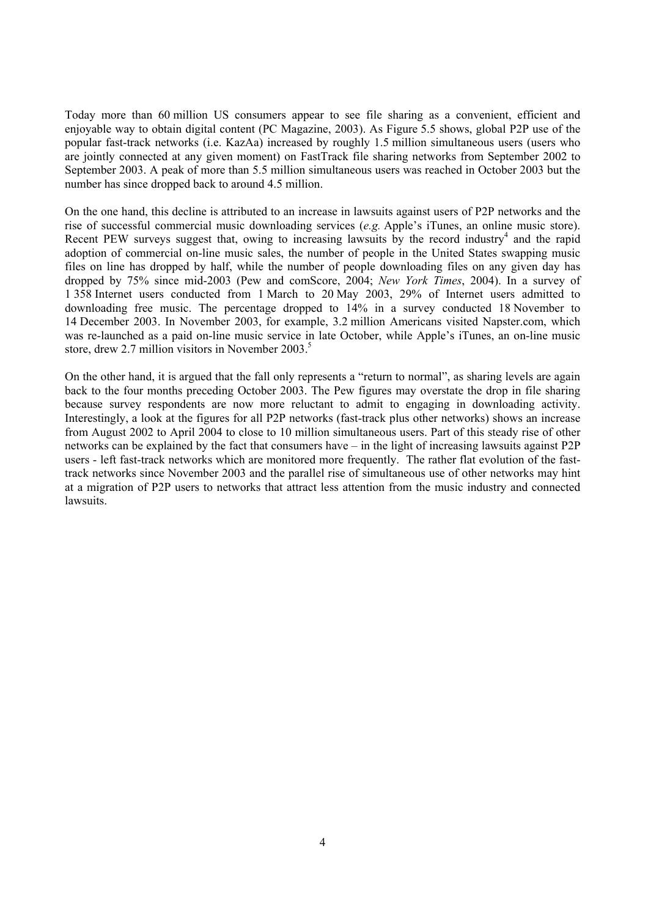Today more than 60 million US consumers appear to see file sharing as a convenient, efficient and enjoyable way to obtain digital content (PC Magazine, 2003). As Figure 5.5 shows, global P2P use of the popular fast-track networks (i.e. KazAa) increased by roughly 1.5 million simultaneous users (users who are jointly connected at any given moment) on FastTrack file sharing networks from September 2002 to September 2003. A peak of more than 5.5 million simultaneous users was reached in October 2003 but the number has since dropped back to around 4.5 million.

On the one hand, this decline is attributed to an increase in lawsuits against users of P2P networks and the rise of successful commercial music downloading services (*e.g.* Apple's iTunes, an online music store). Recent PEW surveys suggest that, owing to increasing lawsuits by the record industry<sup>[4](#page-4-0)</sup> and the rapid adoption of commercial on-line music sales, the number of people in the United States swapping music files on line has dropped by half, while the number of people downloading files on any given day has dropped by 75% since mid-2003 (Pew and comScore, 2004; *New York Times*, 2004). In a survey of 1 358 Internet users conducted from 1 March to 20 May 2003, 29% of Internet users admitted to downloading free music. The percentage dropped to 14% in a survey conducted 18 November to 14 December 2003. In November 2003, for example, 3.2 million Americans visited Napster.com, which was re-launched as a paid on-line music service in late October, while Apple's iTunes, an on-line music store, drew 2.7 million visitors in November 2003.<sup>5</sup>

<span id="page-3-1"></span><span id="page-3-0"></span>On the other hand, it is argued that the fall only represents a "return to normal", as sharing levels are again back to the four months preceding October 2003. The Pew figures may overstate the drop in file sharing because survey respondents are now more reluctant to admit to engaging in downloading activity. Interestingly, a look at the figures for all P2P networks (fast-track plus other networks) shows an increase from August 2002 to April 2004 to close to 10 million simultaneous users. Part of this steady rise of other networks can be explained by the fact that consumers have – in the light of increasing lawsuits against P2P users - left fast-track networks which are monitored more frequently. The rather flat evolution of the fasttrack networks since November 2003 and the parallel rise of simultaneous use of other networks may hint at a migration of P2P users to networks that attract less attention from the music industry and connected lawsuits.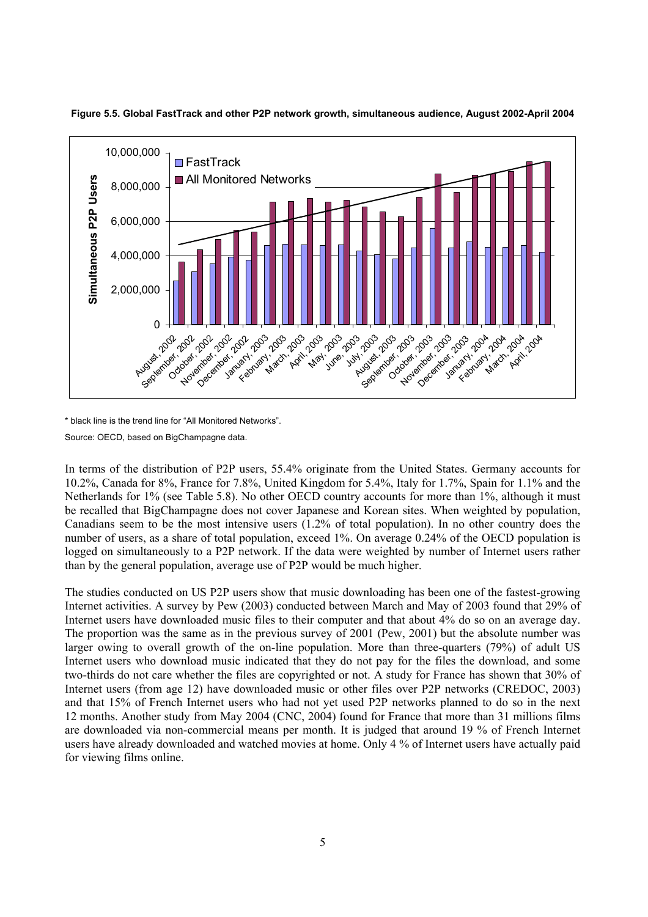

**Figure 5.5. Global FastTrack and other P2P network growth, simultaneous audience, August 2002-April 2004** 

\* black line is the trend line for "All Monitored Networks".

Source: OECD, based on BigChampagne data.

In terms of the distribution of P2P users, 55.4% originate from the United States. Germany accounts for 10.2%, Canada for 8%, France for 7.8%, United Kingdom for 5.4%, Italy for 1.7%, Spain for 1.1% and the Netherlands for 1% (see Table 5.8). No other OECD country accounts for more than 1%, although it must be recalled that BigChampagne does not cover Japanese and Korean sites. When weighted by population, Canadians seem to be the most intensive users (1.2% of total population). In no other country does the number of users, as a share of total population, exceed 1%. On average 0.24% of the OECD population is logged on simultaneously to a P2P network. If the data were weighted by number of Internet users rather than by the general population, average use of P2P would be much higher.

<span id="page-4-1"></span><span id="page-4-0"></span>The studies conducted on US P2P users show that music downloading has been one of the fastest-growing Internet activities. A survey by Pew (2003) conducted between March and May of 2003 found that 29% of Internet users have downloaded music files to their computer and that about 4% do so on an average day. The proportion was the same as in the previous survey of 2001 (Pew, 2001) but the absolute number was larger owing to overall growth of the on-line population. More than three-quarters (79%) of adult US Internet users who download music indicated that they do not pay for the files the download, and some two-thirds do not care whether the files are copyrighted or not. A study for France has shown that 30% of Internet users (from age 12) have downloaded music or other files over P2P networks (CREDOC, 2003) and that 15% of French Internet users who had not yet used P2P networks planned to do so in the next 12 months. Another study from May 2004 (CNC, 2004) found for France that more than 31 millions films are downloaded via non-commercial means per month. It is judged that around 19 % of French Internet users have already downloaded and watched movies at home. Only 4 % of Internet users have actually paid for viewing films online.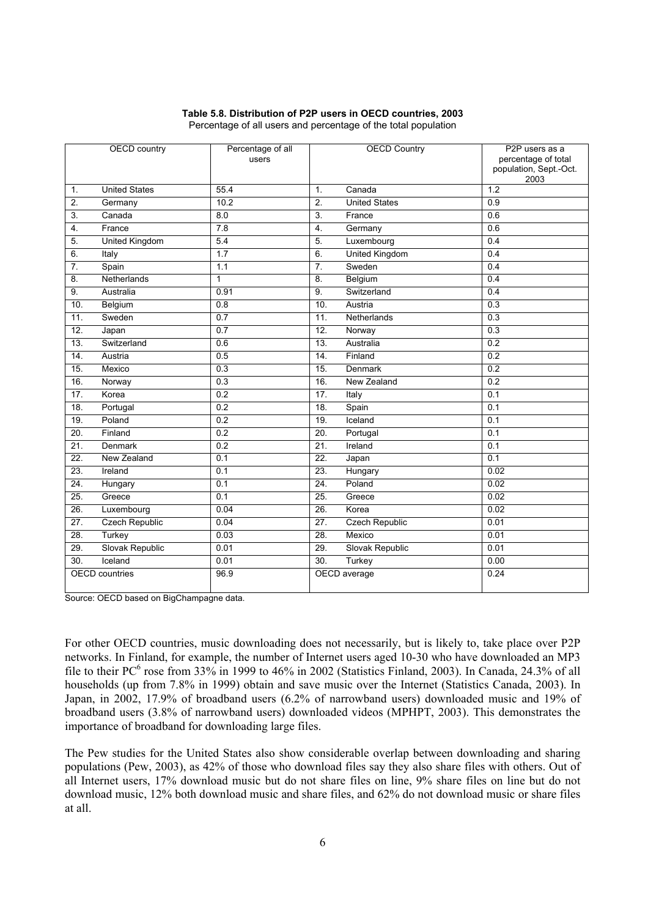### **Table 5.8. Distribution of P2P users in OECD countries, 2003**

|                       | <b>OECD</b> country   | Percentage of all<br>users |                   | <b>OECD Country</b>   | P2P users as a<br>percentage of total<br>population, Sept.-Oct.<br>2003 |
|-----------------------|-----------------------|----------------------------|-------------------|-----------------------|-------------------------------------------------------------------------|
| 1.                    | <b>United States</b>  | 55.4                       | 1.                | Canada                | $\overline{1.2}$                                                        |
| 2.                    | Germany               | 10.2                       | 2.                | <b>United States</b>  | 0.9                                                                     |
| $\overline{3}$ .      | Canada                | 8.0                        | 3.                | France                | 0.6                                                                     |
| $\overline{4}$ .      | France                | $\overline{7.8}$           | 4.                | Germany               | 0.6                                                                     |
| 5 <sub>1</sub>        | <b>United Kingdom</b> | 5.4                        | 5.                | Luxembourg            | 0.4                                                                     |
| 6.                    | Italy                 | $\overline{1.7}$           | 6.                | <b>United Kingdom</b> | 0.4                                                                     |
| $\overline{7}$ .      | Spain                 | 1.1                        | $\overline{7}$ .  | Sweden                | 0.4                                                                     |
| 8.                    | Netherlands           | $\mathbf{1}$               | 8.                | Belgium               | 0.4                                                                     |
| 9.                    | Australia             | 0.91                       | 9.                | Switzerland           | 0.4                                                                     |
| 10.                   | Belgium               | 0.8                        | 10.               | Austria               | 0.3                                                                     |
| 11.                   | Sweden                | 0.7                        | 11.               | Netherlands           | 0.3                                                                     |
| $\overline{12}$ .     | Japan                 | 0.7                        | 12.               | Norway                | 0.3                                                                     |
| $\overline{13}$ .     | Switzerland           | 0.6                        | 13.               | Australia             | $\overline{0.2}$                                                        |
| 14.                   | Austria               | 0.5                        | 14.               | Finland               | 0.2                                                                     |
| $\overline{15}$ .     | Mexico                | $\overline{0.3}$           | 15.               | <b>Denmark</b>        | 0.2                                                                     |
| 16.                   | Norway                | $\overline{0.3}$           | 16.               | New Zealand           | 0.2                                                                     |
| 17.                   | Korea                 | 0.2                        | 17.               | Italy                 | 0.1                                                                     |
| 18.                   | Portugal              | 0.2                        | 18.               | Spain                 | 0.1                                                                     |
| 19.                   | Poland                | 0.2                        | 19.               | Iceland               | 0.1                                                                     |
| $\overline{20}$ .     | Finland               | $\overline{0.2}$           | 20.               | Portugal              | $\overline{0.1}$                                                        |
| 21.                   | Denmark               | $\overline{0.2}$           | $\overline{21}$   | Ireland               | 0.1                                                                     |
| $\overline{22}$ .     | New Zealand           | $\overline{0.1}$           | $\overline{22}$ . | Japan                 | $\overline{0.1}$                                                        |
| 23.                   | Ireland               | 0.1                        | 23.               | Hungary               | 0.02                                                                    |
| 24.                   | Hungary               | 0.1                        | 24.               | Poland                | 0.02                                                                    |
| 25.                   | Greece                | 0.1                        | 25.               | Greece                | 0.02                                                                    |
| $\overline{26}$ .     | Luxembourg            | 0.04                       | $\overline{26}$ . | Korea                 | 0.02                                                                    |
| $\overline{27}$ .     | <b>Czech Republic</b> | 0.04                       | 27.               | <b>Czech Republic</b> | 0.01                                                                    |
| 28.                   | Turkey                | 0.03                       | $\overline{28}$ . | Mexico                | 0.01                                                                    |
| $\overline{29}$ .     | Slovak Republic       | 0.01                       | 29.               | Slovak Republic       | 0.01                                                                    |
| 30.                   | Iceland               | 0.01                       | 30.               | Turkey                | 0.00                                                                    |
| <b>OECD</b> countries |                       | 96.9                       |                   | OECD average          | 0.24                                                                    |

Percentage of all users and percentage of the total population

Source: OECD based on BigChampagne data.

For other OECD countries, music downloading does not necessarily, but is likely to, take place over P2P networks. In Finland, for example, the number of Internet users aged 10-30 who have downloaded an MP3 file to their PC<sup>6</sup> rose from 33% in 1999 to 46% in 2002 (Statistics Finland, 2003). In Canada, 24.3% of all households (up from 7.8% in 1999) obtain and save music over the Internet (Statistics Canada, 2003). In Japan, in 2002, 17.9% of broadband users (6.2% of narrowband users) downloaded music and 19% of broadband users (3.8% of narrowband users) downloaded videos (MPHPT, 2003). This demonstrates the importance of broadband for downloading large files.

The Pew studies for the United States also show considerable overlap between downloading and sharing populations (Pew, 2003), as 42% of those who download files say they also share files with others. Out of all Internet users, 17% download music but do not share files on line, 9% share files on line but do not download music, 12% both download music and share files, and 62% do not download music or share files at all.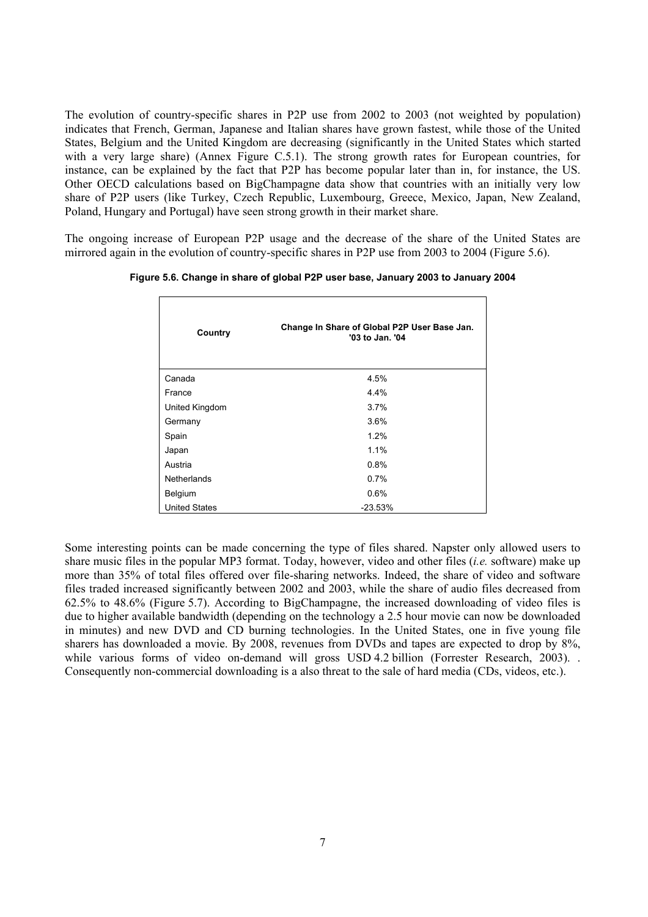The evolution of country-specific shares in P2P use from 2002 to 2003 (not weighted by population) indicates that French, German, Japanese and Italian shares have grown fastest, while those of the United States, Belgium and the United Kingdom are decreasing (significantly in the United States which started with a very large share) (Annex Figure C.5.1). The strong growth rates for European countries, for instance, can be explained by the fact that P2P has become popular later than in, for instance, the US. Other OECD calculations based on BigChampagne data show that countries with an initially very low share of P2P users (like Turkey, Czech Republic, Luxembourg, Greece, Mexico, Japan, New Zealand, Poland, Hungary and Portugal) have seen strong growth in their market share.

The ongoing increase of European P2P usage and the decrease of the share of the United States are mirrored again in the evolution of country-specific shares in P2P use from 2003 to 2004 (Figure 5.6).

| Country              | Change In Share of Global P2P User Base Jan.<br>'03 to Jan. '04 |  |
|----------------------|-----------------------------------------------------------------|--|
| Canada               | 4.5%                                                            |  |
| France               | 4.4%                                                            |  |
| United Kingdom       | 3.7%                                                            |  |
| Germany              | 3.6%                                                            |  |
| Spain                | 1.2%                                                            |  |
| Japan                | 1.1%                                                            |  |
| Austria              | 0.8%                                                            |  |
| Netherlands          | 0.7%                                                            |  |
| Belgium              | 0.6%                                                            |  |
| <b>United States</b> | $-23.53%$                                                       |  |

**Figure 5.6. Change in share of global P2P user base, January 2003 to January 2004**

<span id="page-6-0"></span>Some interesting points can be made concerning the type of files shared. Napster only allowed users to share music files in the popular MP3 format. Today, however, video and other files (*i.e.* software) make up more than 35% of total files offered over file-sharing networks. Indeed, the share of video and software files traded increased significantly between 2002 and 2003, while the share of audio files decreased from 62.5% to 48.6% (Figure 5.7). According to BigChampagne, the increased downloading of video files is due to higher available bandwidth (depending on the technology a 2.5 hour movie can now be downloaded in minutes) and new DVD and CD burning technologies. In the United States, one in five young file sharers has downloaded a movie. By 2008, revenues from DVDs and tapes are expected to drop by 8%, while various forms of video on-demand will gross USD 4.2 billion (Forrester Research, 2003). Consequently non-commercial downloading is a also threat to the sale of hard media (CDs, videos, etc.).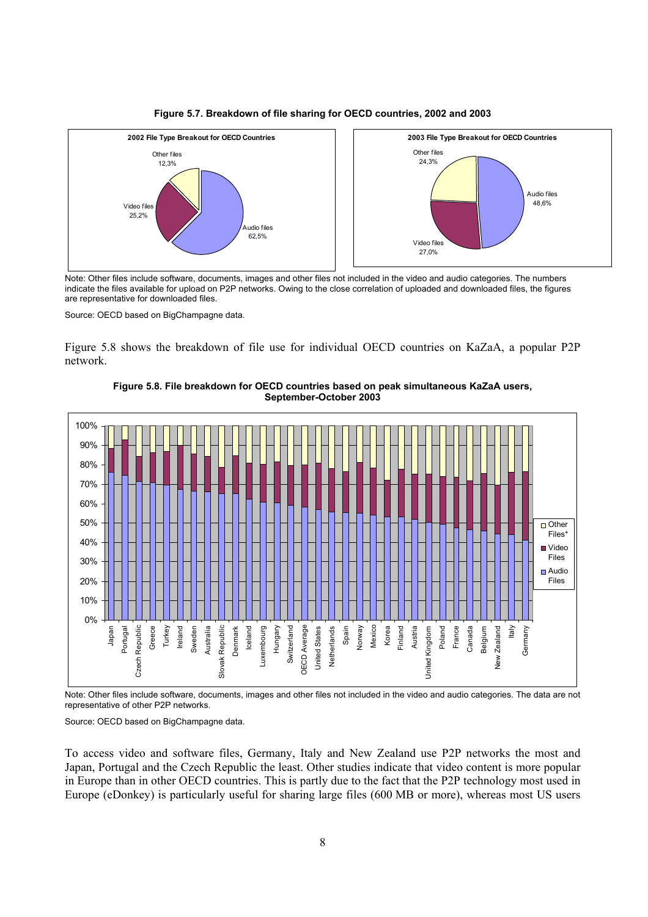



Note: Other files include software, documents, images and other files not included in the video and audio categories. The numbers indicate the files available for upload on P2P networks. Owing to the close correlation of uploaded and downloaded files, the figures are representative for downloaded files.

Source: OECD based on BigChampagne data.

Figure 5.8 shows the breakdown of file use for individual OECD countries on KaZaA, a popular P2P network.



**Figure 5.8. File breakdown for OECD countries based on peak simultaneous KaZaA users, September-October 2003**

Note: Other files include software, documents, images and other files not included in the video and audio categories. The data are not representative of other P2P networks.

Source: OECD based on BigChampagne data.

To access video and software files, Germany, Italy and New Zealand use P2P networks the most and Japan, Portugal and the Czech Republic the least. Other studies indicate that video content is more popular in Europe than in other OECD countries. This is partly due to the fact that the P2P technology most used in Europe (eDonkey) is particularly useful for sharing large files (600 MB or more), whereas most US users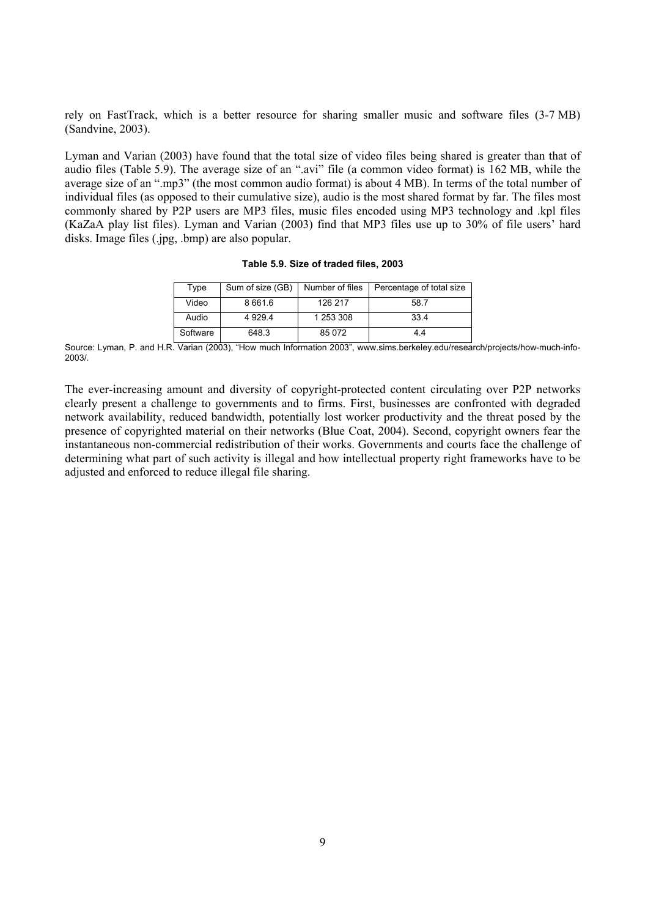rely on FastTrack, which is a better resource for sharing smaller music and software files (3-7 MB) (Sandvine, 2003).

Lyman and Varian (2003) have found that the total size of video files being shared is greater than that of audio files (Table 5.9). The average size of an ".avi" file (a common video format) is 162 MB, while the average size of an ".mp3" (the most common audio format) is about 4 MB). In terms of the total number of individual files (as opposed to their cumulative size), audio is the most shared format by far. The files most commonly shared by P2P users are MP3 files, music files encoded using MP3 technology and .kpl files (KaZaA play list files). Lyman and Varian (2003) find that MP3 files use up to 30% of file users' hard disks. Image files (.jpg, .bmp) are also popular.

| Type     | Sum of size (GB) | Number of files | Percentage of total size |
|----------|------------------|-----------------|--------------------------|
| Video    | 8 6 6 1 . 6      | 126 217         | 58.7                     |
| Audio    | 4 9 2 9.4        | 1 253 308       | 33.4                     |
| Software | 648.3            | 85 0 72         | 44                       |

**Table 5.9. Size of traded files, 2003** 

Source: Lyman, P. and H.R. Varian (2003), "How much Information 2003", www.sims.berkeley.edu/research/projects/how-much-info-2003/.

The ever-increasing amount and diversity of copyright-protected content circulating over P2P networks clearly present a challenge to governments and to firms. First, businesses are confronted with degraded network availability, reduced bandwidth, potentially lost worker productivity and the threat posed by the presence of copyrighted material on their networks (Blue Coat, 2004). Second, copyright owners fear the instantaneous non-commercial redistribution of their works. Governments and courts face the challenge of determining what part of such activity is illegal and how intellectual property right frameworks have to be adjusted and enforced to reduce illegal file sharing.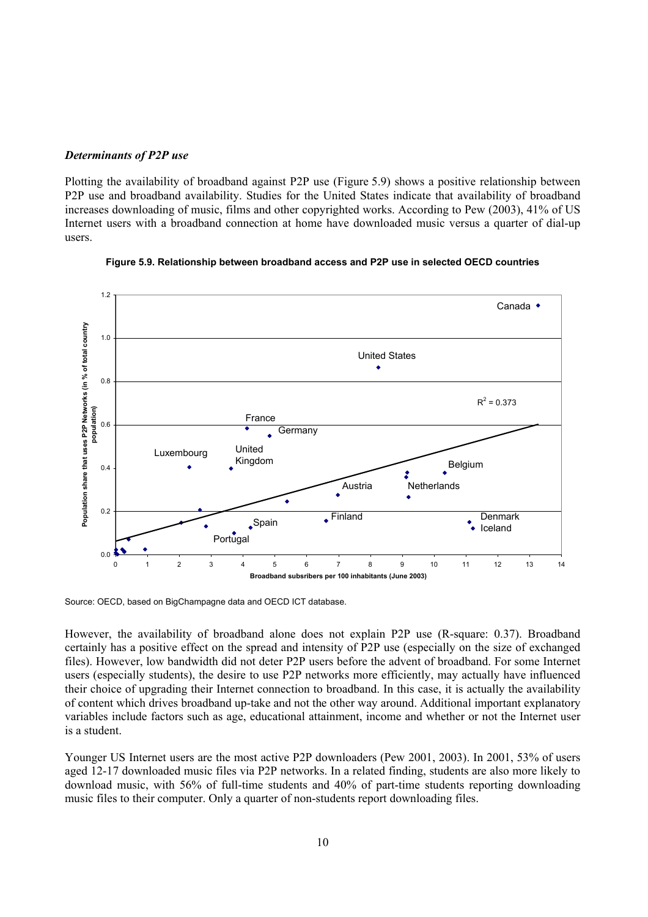### *Determinants of P2P use*

Plotting the availability of broadband against P2P use (Figure 5.9) shows a positive relationship between P2P use and broadband availability. Studies for the United States indicate that availability of broadband increases downloading of music, films and other copyrighted works. According to Pew (2003), 41% of US Internet users with a broadband connection at home have downloaded music versus a quarter of dial-up users.



**Figure 5.9. Relationship between broadband access and P2P use in selected OECD countries** 

Source: OECD, based on BigChampagne data and OECD ICT database.

However, the availability of broadband alone does not explain P2P use (R-square: 0.37). Broadband certainly has a positive effect on the spread and intensity of P2P use (especially on the size of exchanged files). However, low bandwidth did not deter P2P users before the advent of broadband. For some Internet users (especially students), the desire to use P2P networks more efficiently, may actually have influenced their choice of upgrading their Internet connection to broadband. In this case, it is actually the availability of content which drives broadband up-take and not the other way around. Additional important explanatory variables include factors such as age, educational attainment, income and whether or not the Internet user is a student.

Younger US Internet users are the most active P2P downloaders (Pew 2001, 2003). In 2001, 53% of users aged 12-17 downloaded music files via P2P networks. In a related finding, students are also more likely to download music, with 56% of full-time students and 40% of part-time students reporting downloading music files to their computer. Only a quarter of non-students report downloading files.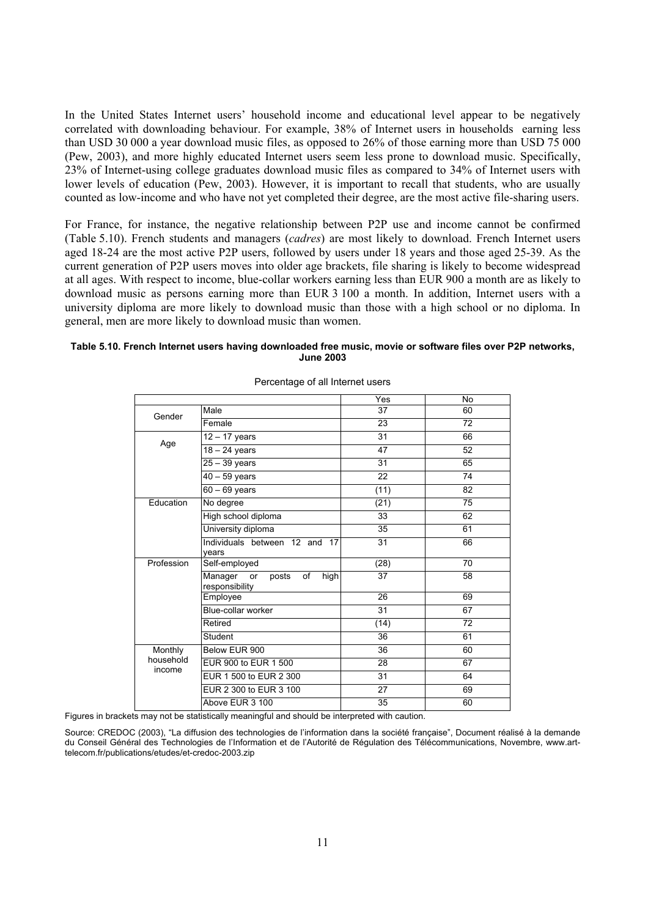In the United States Internet users' household income and educational level appear to be negatively correlated with downloading behaviour. For example, 38% of Internet users in households earning less than USD 30 000 a year download music files, as opposed to 26% of those earning more than USD 75 000 (Pew, 2003), and more highly educated Internet users seem less prone to download music. Specifically, 23% of Internet-using college graduates download music files as compared to 34% of Internet users with lower levels of education (Pew, 2003). However, it is important to recall that students, who are usually counted as low-income and who have not yet completed their degree, are the most active file-sharing users.

For France, for instance, the negative relationship between P2P use and income cannot be confirmed (Table 5.10). French students and managers (*cadres*) are most likely to download. French Internet users aged 18-24 are the most active P2P users, followed by users under 18 years and those aged 25-39. As the current generation of P2P users moves into older age brackets, file sharing is likely to become widespread at all ages. With respect to income, blue-collar workers earning less than EUR 900 a month are as likely to download music as persons earning more than EUR 3 100 a month. In addition, Internet users with a university diploma are more likely to download music than those with a high school or no diploma. In general, men are more likely to download music than women.

#### **Table 5.10. French Internet users having downloaded free music, movie or software files over P2P networks, June 2003**

|                     |                                                        | Yes             | No |
|---------------------|--------------------------------------------------------|-----------------|----|
| Gender              | Male                                                   | 37              | 60 |
|                     | Female                                                 | 23              | 72 |
|                     | $\overline{12}$ – 17 years                             | 31              | 66 |
| Age                 | $18 - 24$ years                                        | 47              | 52 |
|                     | $25 - 39$ years                                        | 31              | 65 |
|                     | $40 - 59$ years                                        | $\overline{22}$ | 74 |
|                     | $60 - 69$ years                                        | (11)            | 82 |
| Education           | No degree                                              | (21)            | 75 |
|                     | High school diploma                                    | 33              | 62 |
|                     | University diploma                                     | 35              | 61 |
|                     | Individuals between 12 and 17<br>vears                 | 31              | 66 |
| Profession          | Self-employed                                          | (28)            | 70 |
|                     | Manager<br>or<br>posts<br>high<br>of<br>responsibility | 37              | 58 |
|                     | Employee                                               | 26              | 69 |
|                     | Blue-collar worker                                     | 31              | 67 |
|                     | Retired                                                | (14)            | 72 |
|                     | Student                                                | 36              | 61 |
| Monthly             | Below EUR 900                                          | 36              | 60 |
| household<br>income | EUR 900 to EUR 1 500                                   | 28              | 67 |
|                     | EUR 1 500 to EUR 2 300                                 | 31              | 64 |
|                     | EUR 2 300 to EUR 3 100                                 | 27              | 69 |
|                     | Above EUR 3 100                                        | 35              | 60 |

#### Percentage of all Internet users

Figures in brackets may not be statistically meaningful and should be interpreted with caution.

Source: CREDOC (2003), "La diffusion des technologies de l'information dans la société française", Document réalisé à la demande du Conseil Général des Technologies de l'Information et de l'Autorité de Régulation des Télécommunications, Novembre, www.arttelecom.fr/publications/etudes/et-credoc-2003.zip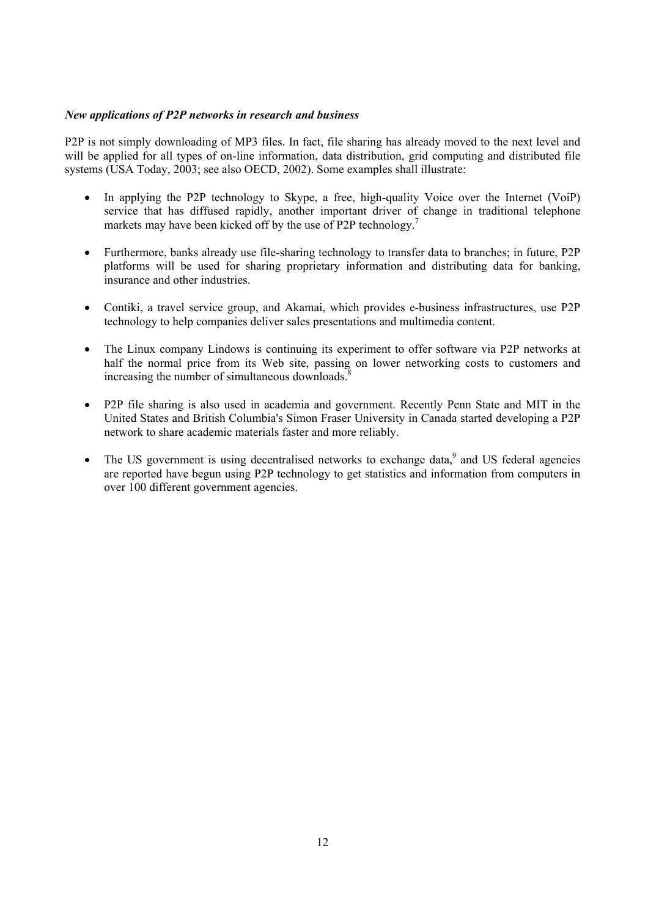## *New applications of P2P networks in research and business*

P2P is not simply downloading of MP3 files. In fact, file sharing has already moved to the next level and will be applied for all types of on-line information, data distribution, grid computing and distributed file systems (USA Today, 2003; see also OECD, 2002). Some examples shall illustrate:

- In applying the P2P technology to Skype, a free, high-quality Voice over the Internet (VoiP) service that has diffused rapidly, another important driver of change in traditional telephone markets may have been kicked off by the use of P2P technology.<sup>[7](#page-12-0)</sup>
- Furthermore, banks already use file-sharing technology to transfer data to branches; in future, P2P platforms will be used for sharing proprietary information and distributing data for banking, insurance and other industries.
- Contiki, a travel service group, and Akamai, which provides e-business infrastructures, use P2P technology to help companies deliver sales presentations and multimedia content.
- The Linux company Lindows is continuing its experiment to offer software via P2P networks at half the normal price from its Web site, passing on lower networking costs to customers and increasing the number of simultaneous downloads. $\delta$
- P2P file sharing is also used in academia and government. Recently Penn State and MIT in the United States and British Columbia's Simon Fraser University in Canada started developing a P2P network to share academic materials faster and more reliably.
- The US government is using decentralised networks to exchange data, $9$  and US federal agencies are reported have begun using P2P technology to get statistics and information from computers in over 100 different government agencies.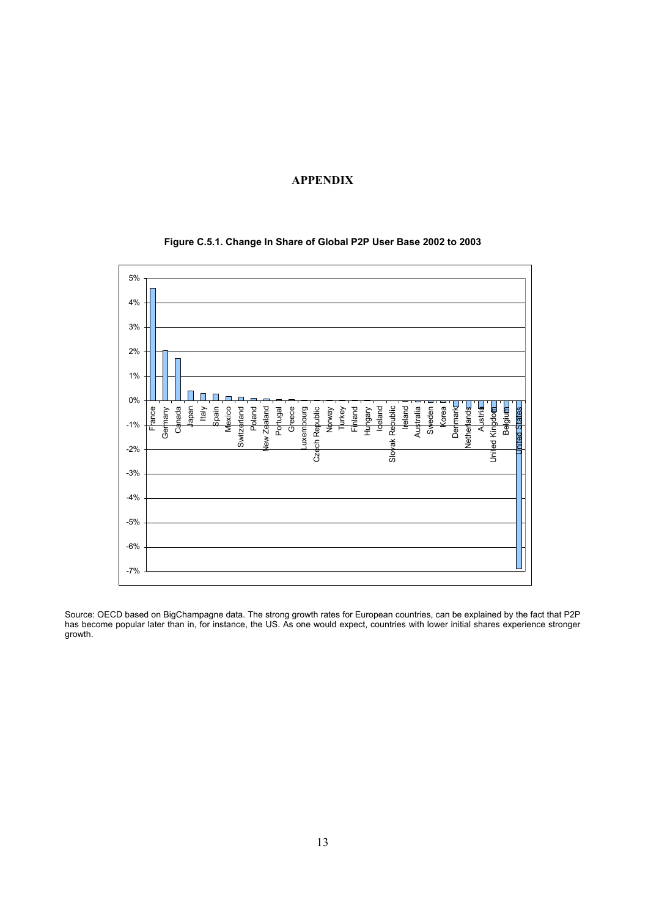## **APPENDIX**

<span id="page-12-2"></span><span id="page-12-1"></span><span id="page-12-0"></span>

### **Figure C.5.1. Change In Share of Global P2P User Base 2002 to 2003**

Source: OECD based on BigChampagne data. The strong growth rates for European countries, can be explained by the fact that P2P has become popular later than in, for instance, the US. As one would expect, countries with lower initial shares experience stronger growth.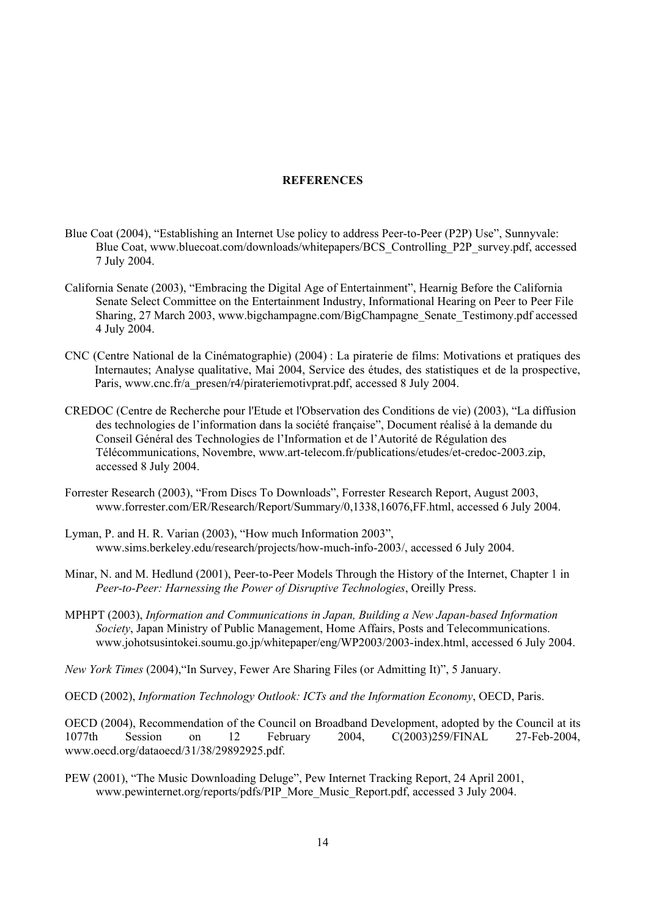### **REFERENCES**

- Blue Coat (2004), "Establishing an Internet Use policy to address Peer-to-Peer (P2P) Use", Sunnyvale: Blue Coat, www.bluecoat.com/downloads/whitepapers/BCS\_Controlling\_P2P\_survey.pdf, accessed 7 July 2004.
- California Senate (2003), "Embracing the Digital Age of Entertainment", Hearnig Before the California Senate Select Committee on the Entertainment Industry, Informational Hearing on Peer to Peer File Sharing, 27 March 2003, www.bigchampagne.com/BigChampagne\_Senate\_Testimony.pdf accessed 4 July 2004.
- CNC (Centre National de la Cinématographie) (2004) : La piraterie de films: Motivations et pratiques des Internautes; Analyse qualitative, Mai 2004, Service des études, des statistiques et de la prospective, Paris, www.cnc.fr/a\_presen/r4/pirateriemotivprat.pdf, accessed 8 July 2004.
- CREDOC (Centre de Recherche pour l'Etude et l'Observation des Conditions de vie) (2003), "La diffusion des technologies de l'information dans la société française", Document réalisé à la demande du Conseil Général des Technologies de l'Information et de l'Autorité de Régulation des Télécommunications, Novembre, www.art-telecom.fr/publications/etudes/et-credoc-2003.zip, accessed 8 July 2004.
- Forrester Research (2003), "From Discs To Downloads", Forrester Research Report, August 2003, www.forrester.com/ER/Research/Report/Summary/0,1338,16076,FF.html, accessed 6 July 2004.
- Lyman, P. and H. R. Varian (2003), "How much Information 2003", www.sims.berkeley.edu/research/projects/how-much-info-2003/, accessed 6 July 2004.
- Minar, N. and M. Hedlund (2001), Peer-to-Peer Models Through the History of the Internet, Chapter 1 in *Peer-to-Peer: Harnessing the Power of Disruptive Technologies*, Oreilly Press.
- MPHPT (2003), *Information and Communications in Japan, Building a New Japan-based Information Society*, Japan Ministry of Public Management, Home Affairs, Posts and Telecommunications. www.johotsusintokei.soumu.go.jp/whitepaper/eng/WP2003/2003-index.html, accessed 6 July 2004.

*New York Times* (2004),"In Survey, Fewer Are Sharing Files (or Admitting It)", 5 January.

OECD (2002), *Information Technology Outlook: ICTs and the Information Economy*, OECD, Paris.

OECD (2004), Recommendation of the Council on Broadband Development, adopted by the Council at its 1077th Session on 12 February 2004, C(2003)259/FINAL 27-Feb-2004, www.oecd.org/dataoecd/31/38/29892925.pdf.

PEW (2001), "The Music Downloading Deluge", Pew Internet Tracking Report, 24 April 2001, www.pewinternet.org/reports/pdfs/PIP\_More\_Music\_Report.pdf, accessed 3 July 2004.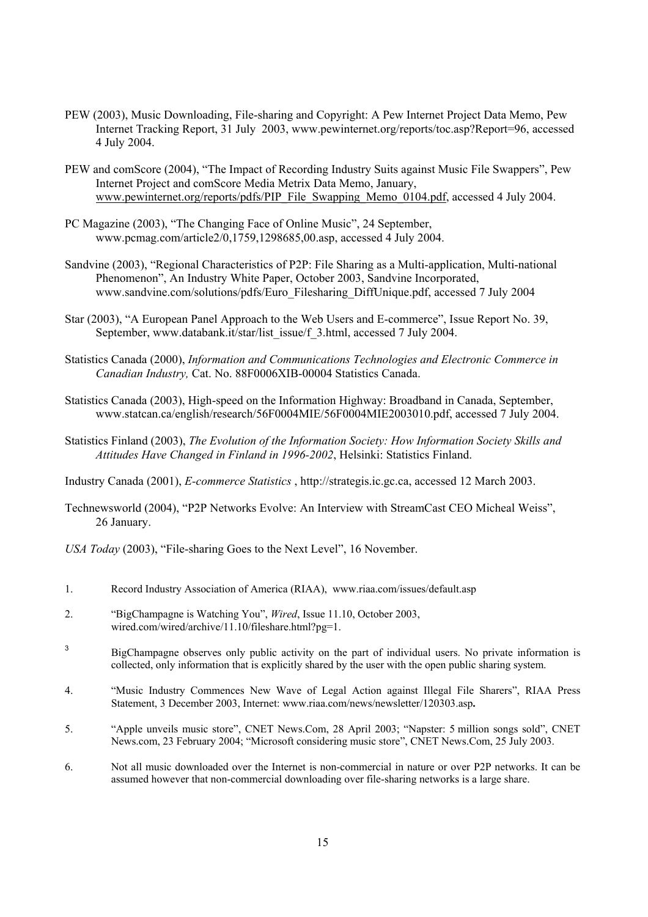- PEW (2003), Music Downloading, File-sharing and Copyright: A Pew Internet Project Data Memo, Pew Internet Tracking Report, 31 July 2003, www.pewinternet.org/reports/toc.asp?Report=96, accessed 4 July 2004.
- PEW and comScore (2004), "The Impact of Recording Industry Suits against Music File Swappers", Pew Internet Project and comScore Media Metrix Data Memo, January, [www.pewinternet.org/reports/pdfs/PIP\\_File\\_Swapping\\_Memo\\_0104.pdf,](http://www.pewinternet.org/reports/pdfs/PIP_File_Swapping_Memo_0104.pdf) accessed 4 July 2004.
- PC Magazine (2003), "The Changing Face of Online Music", 24 September, www.pcmag.com/article2/0,1759,1298685,00.asp, accessed 4 July 2004.
- Sandvine (2003), "Regional Characteristics of P2P: File Sharing as a Multi-application, Multi-national Phenomenon", An Industry White Paper, October 2003, Sandvine Incorporated, www.sandvine.com/solutions/pdfs/Euro\_Filesharing\_DiffUnique.pdf, accessed 7 July 2004
- Star (2003), "A European Panel Approach to the Web Users and E-commerce", Issue Report No. 39, September, www.databank.it/star/list\_issue/f\_3.html, accessed 7 July 2004.
- Statistics Canada (2000), *Information and Communications Technologies and Electronic Commerce in Canadian Industry,* Cat. No. 88F0006XIB-00004 Statistics Canada.
- Statistics Canada (2003), High-speed on the Information Highway: Broadband in Canada, September, www.statcan.ca/english/research/56F0004MIE/56F0004MIE2003010.pdf, accessed 7 July 2004.
- Statistics Finland (2003), *The Evolution of the Information Society: How Information Society Skills and Attitudes Have Changed in Finland in 1996-2002*, Helsinki: Statistics Finland.

Industry Canada (2001), *E-commerce Statistics* , http://strategis.ic.gc.ca, accessed 12 March 2003.

Technewsworld (2004), "P2P Networks Evolve: An Interview with StreamCast CEO Micheal Weiss", 26 January.

*USA Today* (2003), "File-sharing Goes to the Next Level", 16 November.

- 1. Record Industry Association of America (RIAA), www.riaa.com/issues/default.asp
- 2. "BigChampagne is Watching You", *Wired*, Issue 11.10, October 2003, wired.com/wired/archive/11.10/fileshare.html?pg=1.
- 3 BigChampagne observes only public activity on the part of individual users. No private information is collected, only information that is explicitly shared by the user with the open public sharing system.
- 4. "Music Industry Commences New Wave of Legal Action against Illegal File Sharers", RIAA Press Statement, 3 December 2003, Internet: www.riaa.com/news/newsletter/120303.asp**.**
- 5. "Apple unveils music store", CNET News.Com, 28 April 2003; "Napster: 5 million songs sold", CNET News.com, 23 February 2004; "Microsoft considering music store", CNET News.Com, 25 July 2003.
- 6. Not all music downloaded over the Internet is non-commercial in nature or over P2P networks. It can be assumed however that non-commercial downloading over file-sharing networks is a large share.